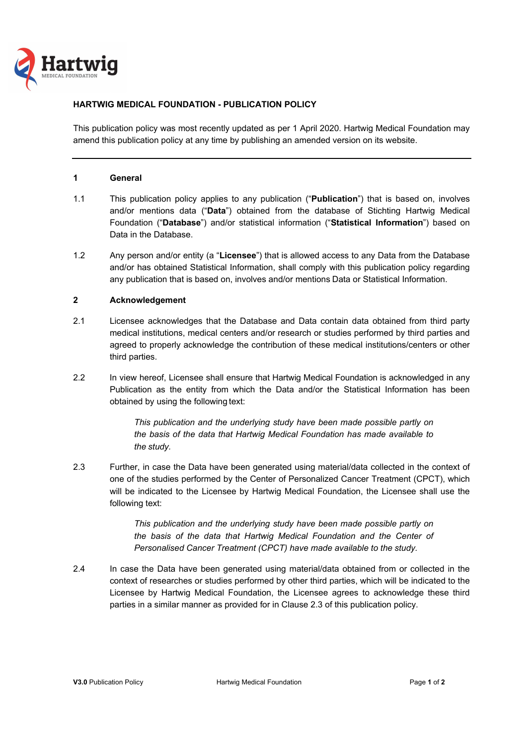

# **HARTWIG MEDICAL FOUNDATION - PUBLICATION POLICY**

This publication policy was most recently updated as per 1 April 2020. Hartwig Medical Foundation may amend this publication policy at any time by publishing an amended version on its website.

## **1 General**

- 1.1 This publication policy applies to any publication ("**Publication**") that is based on, involves and/or mentions data ("**Data**") obtained from the database of Stichting Hartwig Medical Foundation ("**Database**") and/or statistical information ("**Statistical Information**") based on Data in the Database.
- 1.2 Any person and/or entity (a "**Licensee**") that is allowed access to any Data from the Database and/or has obtained Statistical Information, shall comply with this publication policy regarding any publication that is based on, involves and/or mentions Data or Statistical Information.

## **2 Acknowledgement**

- 2.1 Licensee acknowledges that the Database and Data contain data obtained from third party medical institutions, medical centers and/or research or studies performed by third parties and agreed to properly acknowledge the contribution of these medical institutions/centers or other third parties.
- 2.2 In view hereof, Licensee shall ensure that Hartwig Medical Foundation is acknowledged in any Publication as the entity from which the Data and/or the Statistical Information has been obtained by using the following text:

*This publication and the underlying study have been made possible partly on the basis of the data that Hartwig Medical Foundation has made available to the study.* 

2.3 Further, in case the Data have been generated using material/data collected in the context of one of the studies performed by the Center of Personalized Cancer Treatment (CPCT), which will be indicated to the Licensee by Hartwig Medical Foundation, the Licensee shall use the following text:

> *This publication and the underlying study have been made possible partly on the basis of the data that Hartwig Medical Foundation and the Center of Personalised Cancer Treatment (CPCT) have made available to the study.*

2.4 In case the Data have been generated using material/data obtained from or collected in the context of researches or studies performed by other third parties, which will be indicated to the Licensee by Hartwig Medical Foundation, the Licensee agrees to acknowledge these third parties in a similar manner as provided for in Clause 2.3 of this publication policy.